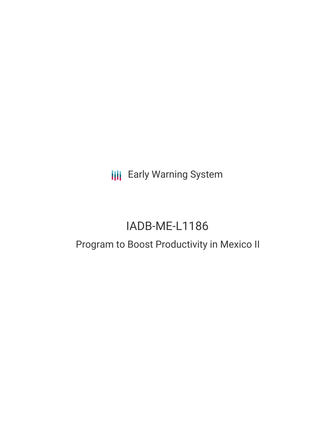**III** Early Warning System

# IADB-ME-L1186

## Program to Boost Productivity in Mexico II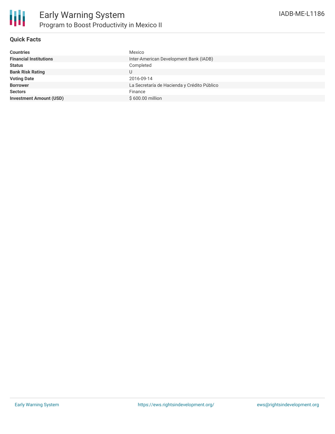

### **Quick Facts**

| <b>Financial Institutions</b><br>Inter-American Development Bank (IADB)<br>Completed<br><b>Status</b><br><b>Bank Risk Rating</b><br><b>Voting Date</b><br>2016-09-14<br>La Secretaría de Hacienda y Crédito Público<br><b>Borrower</b><br><b>Sectors</b><br>Finance<br>\$600.00 million<br><b>Investment Amount (USD)</b> | <b>Countries</b> | Mexico |
|---------------------------------------------------------------------------------------------------------------------------------------------------------------------------------------------------------------------------------------------------------------------------------------------------------------------------|------------------|--------|
|                                                                                                                                                                                                                                                                                                                           |                  |        |
|                                                                                                                                                                                                                                                                                                                           |                  |        |
|                                                                                                                                                                                                                                                                                                                           |                  |        |
|                                                                                                                                                                                                                                                                                                                           |                  |        |
|                                                                                                                                                                                                                                                                                                                           |                  |        |
|                                                                                                                                                                                                                                                                                                                           |                  |        |
|                                                                                                                                                                                                                                                                                                                           |                  |        |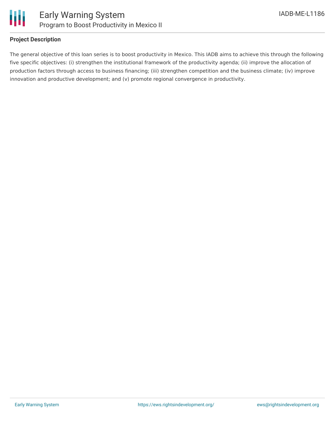

#### **Project Description**

The general objective of this loan series is to boost productivity in Mexico. This IADB aims to achieve this through the following five specific objectives: (i) strengthen the institutional framework of the productivity agenda; (ii) improve the allocation of production factors through access to business financing; (iii) strengthen competition and the business climate; (iv) improve innovation and productive development; and (v) promote regional convergence in productivity.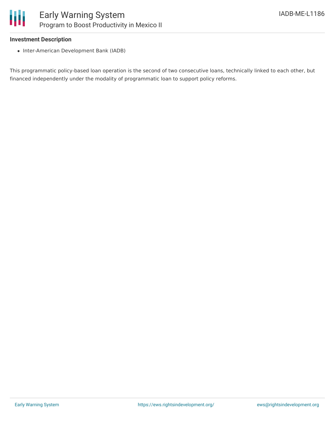#### **Investment Description**

• Inter-American Development Bank (IADB)

This programmatic policy-based loan operation is the second of two consecutive loans, technically linked to each other, but financed independently under the modality of programmatic loan to support policy reforms.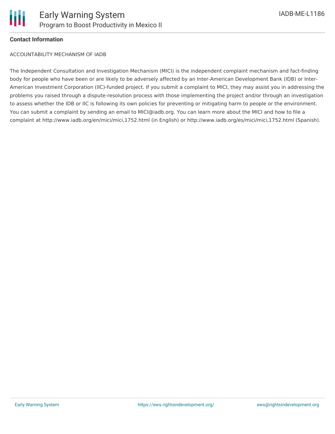

#### **Contact Information**

ACCOUNTABILITY MECHANISM OF IADB

The Independent Consultation and Investigation Mechanism (MICI) is the independent complaint mechanism and fact-finding body for people who have been or are likely to be adversely affected by an Inter-American Development Bank (IDB) or Inter-American Investment Corporation (IIC)-funded project. If you submit a complaint to MICI, they may assist you in addressing the problems you raised through a dispute-resolution process with those implementing the project and/or through an investigation to assess whether the IDB or IIC is following its own policies for preventing or mitigating harm to people or the environment. You can submit a complaint by sending an email to MICI@iadb.org. You can learn more about the MICI and how to file a complaint at http://www.iadb.org/en/mici/mici,1752.html (in English) or http://www.iadb.org/es/mici/mici,1752.html (Spanish).